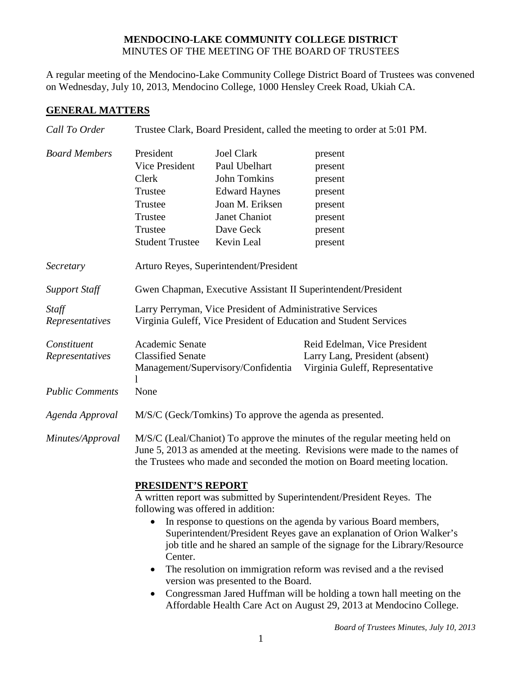## **MENDOCINO-LAKE COMMUNITY COLLEGE DISTRICT** MINUTES OF THE MEETING OF THE BOARD OF TRUSTEES

A regular meeting of the Mendocino-Lake Community College District Board of Trustees was convened on Wednesday, July 10, 2013, Mendocino College, 1000 Hensley Creek Road, Ukiah CA.

# **GENERAL MATTERS**

| Call To Order                  |                                                                                                                                                                                                                                                                                                                                                                |                                                                                                                                           | Trustee Clark, Board President, called the meeting to order at 5:01 PM.                           |  |
|--------------------------------|----------------------------------------------------------------------------------------------------------------------------------------------------------------------------------------------------------------------------------------------------------------------------------------------------------------------------------------------------------------|-------------------------------------------------------------------------------------------------------------------------------------------|---------------------------------------------------------------------------------------------------|--|
| <b>Board Members</b>           | President<br><b>Vice President</b><br>Clerk<br>Trustee<br>Trustee<br>Trustee<br>Trustee<br><b>Student Trustee</b>                                                                                                                                                                                                                                              | <b>Joel Clark</b><br>Paul Ubelhart<br>John Tomkins<br><b>Edward Haynes</b><br>Joan M. Eriksen<br>Janet Chaniot<br>Dave Geck<br>Kevin Leal | present<br>present<br>present<br>present<br>present<br>present<br>present<br>present              |  |
| Secretary                      |                                                                                                                                                                                                                                                                                                                                                                | Arturo Reyes, Superintendent/President                                                                                                    |                                                                                                   |  |
| <b>Support Staff</b>           | Gwen Chapman, Executive Assistant II Superintendent/President                                                                                                                                                                                                                                                                                                  |                                                                                                                                           |                                                                                                   |  |
| Staff<br>Representatives       | Larry Perryman, Vice President of Administrative Services<br>Virginia Guleff, Vice President of Education and Student Services                                                                                                                                                                                                                                 |                                                                                                                                           |                                                                                                   |  |
| Constituent<br>Representatives | Academic Senate<br><b>Classified Senate</b>                                                                                                                                                                                                                                                                                                                    | Management/Supervisory/Confidentia                                                                                                        | Reid Edelman, Vice President<br>Larry Lang, President (absent)<br>Virginia Guleff, Representative |  |
| <b>Public Comments</b>         | None                                                                                                                                                                                                                                                                                                                                                           |                                                                                                                                           |                                                                                                   |  |
| Agenda Approval                |                                                                                                                                                                                                                                                                                                                                                                | M/S/C (Geck/Tomkins) To approve the agenda as presented.                                                                                  |                                                                                                   |  |
| Minutes/Approval               | M/S/C (Leal/Chaniot) To approve the minutes of the regular meeting held on<br>June 5, 2013 as amended at the meeting. Revisions were made to the names of<br>the Trustees who made and seconded the motion on Board meeting location.                                                                                                                          |                                                                                                                                           |                                                                                                   |  |
|                                | PRESIDENT'S REPORT<br>A written report was submitted by Superintendent/President Reyes. The<br>following was offered in addition:<br>In response to questions on the agenda by various Board members,                                                                                                                                                          |                                                                                                                                           |                                                                                                   |  |
|                                | Superintendent/President Reyes gave an explanation of Orion Walker's<br>job title and he shared an sample of the signage for the Library/Resource<br>Center.<br>The resolution on immigration reform was revised and a the revised<br>$\bullet$<br>version was presented to the Board.<br>Congressman Jared Huffman will be holding a town hall meeting on the |                                                                                                                                           |                                                                                                   |  |
|                                | Affordable Health Care Act on August 29, 2013 at Mendocino College.                                                                                                                                                                                                                                                                                            |                                                                                                                                           |                                                                                                   |  |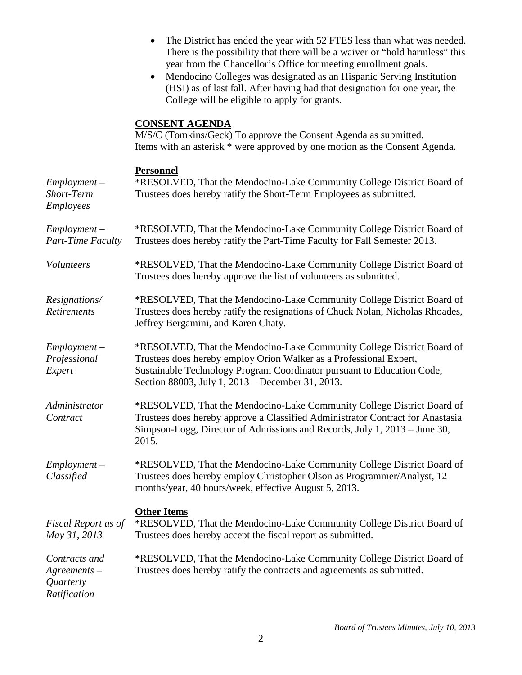• The District has ended the year with 52 FTES less than what was needed. There is the possibility that there will be a waiver or "hold harmless" this year from the Chancellor's Office for meeting enrollment goals. • Mendocino Colleges was designated as an Hispanic Serving Institution (HSI) as of last fall. After having had that designation for one year, the College will be eligible to apply for grants. **CONSENT AGENDA** M/S/C (Tomkins/Geck) To approve the Consent Agenda as submitted. Items with an asterisk \* were approved by one motion as the Consent Agenda. **Personnel** *Employment – Short-Term Employees* \*RESOLVED, That the Mendocino-Lake Community College District Board of Trustees does hereby ratify the Short-Term Employees as submitted. *Employment – Part-Time Faculty* \*RESOLVED, That the Mendocino-Lake Community College District Board of Trustees does hereby ratify the Part-Time Faculty for Fall Semester 2013. *Volunteers* \*RESOLVED, That the Mendocino-Lake Community College District Board of Trustees does hereby approve the list of volunteers as submitted. *Resignations/ Retirements* \*RESOLVED, That the Mendocino-Lake Community College District Board of Trustees does hereby ratify the resignations of Chuck Nolan, Nicholas Rhoades, Jeffrey Bergamini, and Karen Chaty. *Employment – Professional Expert* \*RESOLVED, That the Mendocino-Lake Community College District Board of Trustees does hereby employ Orion Walker as a Professional Expert, Sustainable Technology Program Coordinator pursuant to Education Code, Section 88003, July 1, 2013 – December 31, 2013. *Administrator Contract* \*RESOLVED, That the Mendocino-Lake Community College District Board of Trustees does hereby approve a Classified Administrator Contract for Anastasia Simpson-Logg, Director of Admissions and Records, July 1, 2013 – June 30, 2015. *Employment – Classified* \*RESOLVED, That the Mendocino-Lake Community College District Board of Trustees does hereby employ Christopher Olson as Programmer/Analyst, 12 months/year, 40 hours/week, effective August 5, 2013. **Other Items** *Fiscal Report as of May 31, 2013* \*RESOLVED, That the Mendocino-Lake Community College District Board of Trustees does hereby accept the fiscal report as submitted. *Contracts and Agreements – Quarterly Ratification* \*RESOLVED, That the Mendocino-Lake Community College District Board of Trustees does hereby ratify the contracts and agreements as submitted.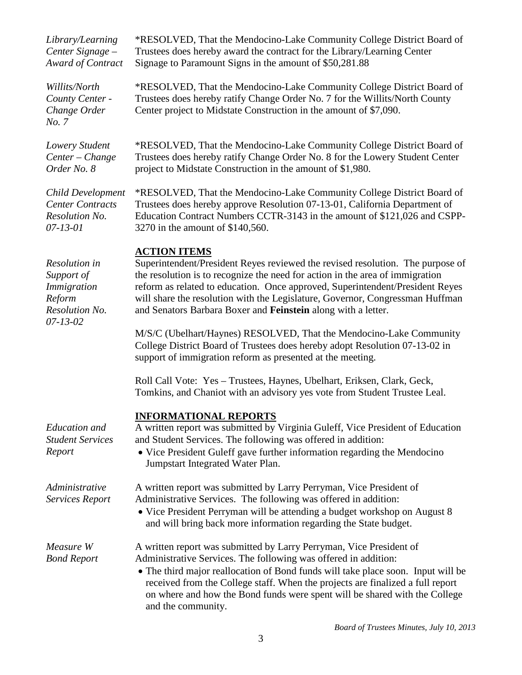| Library/Learning<br>Center Signage -<br>Award of Contract                        | *RESOLVED, That the Mendocino-Lake Community College District Board of<br>Trustees does hereby award the contract for the Library/Learning Center<br>Signage to Paramount Signs in the amount of \$50,281.88                                                                                                                                                                                                              |
|----------------------------------------------------------------------------------|---------------------------------------------------------------------------------------------------------------------------------------------------------------------------------------------------------------------------------------------------------------------------------------------------------------------------------------------------------------------------------------------------------------------------|
| Willits/North<br>County Center -<br>Change Order<br>No. 7                        | *RESOLVED, That the Mendocino-Lake Community College District Board of<br>Trustees does hereby ratify Change Order No. 7 for the Willits/North County<br>Center project to Midstate Construction in the amount of \$7,090.                                                                                                                                                                                                |
| Lowery Student<br>Center - Change<br>Order No. 8                                 | *RESOLVED, That the Mendocino-Lake Community College District Board of<br>Trustees does hereby ratify Change Order No. 8 for the Lowery Student Center<br>project to Midstate Construction in the amount of \$1,980.                                                                                                                                                                                                      |
| Child Development<br><b>Center Contracts</b><br>Resolution No.<br>$07 - 13 - 01$ | *RESOLVED, That the Mendocino-Lake Community College District Board of<br>Trustees does hereby approve Resolution 07-13-01, California Department of<br>Education Contract Numbers CCTR-3143 in the amount of \$121,026 and CSPP-<br>3270 in the amount of \$140,560.                                                                                                                                                     |
| Resolution in<br>Support of<br><i>Immigration</i><br>Reform<br>Resolution No.    | <b>ACTION ITEMS</b><br>Superintendent/President Reyes reviewed the revised resolution. The purpose of<br>the resolution is to recognize the need for action in the area of immigration<br>reform as related to education. Once approved, Superintendent/President Reyes<br>will share the resolution with the Legislature, Governor, Congressman Huffman<br>and Senators Barbara Boxer and Feinstein along with a letter. |
| $07 - 13 - 02$                                                                   | M/S/C (Ubelhart/Haynes) RESOLVED, That the Mendocino-Lake Community<br>College District Board of Trustees does hereby adopt Resolution 07-13-02 in<br>support of immigration reform as presented at the meeting.                                                                                                                                                                                                          |
|                                                                                  | Roll Call Vote: Yes - Trustees, Haynes, Ubelhart, Eriksen, Clark, Geck,<br>Tomkins, and Chaniot with an advisory yes vote from Student Trustee Leal.                                                                                                                                                                                                                                                                      |
| Education and<br><b>Student Services</b><br>Report                               | <b>INFORMATIONAL REPORTS</b><br>A written report was submitted by Virginia Guleff, Vice President of Education<br>and Student Services. The following was offered in addition:<br>• Vice President Guleff gave further information regarding the Mendocino<br>Jumpstart Integrated Water Plan.                                                                                                                            |
| Administrative<br><b>Services Report</b>                                         | A written report was submitted by Larry Perryman, Vice President of<br>Administrative Services. The following was offered in addition:<br>• Vice President Perryman will be attending a budget workshop on August 8<br>and will bring back more information regarding the State budget.                                                                                                                                   |
| Measure W<br><b>Bond Report</b>                                                  | A written report was submitted by Larry Perryman, Vice President of<br>Administrative Services. The following was offered in addition:<br>• The third major reallocation of Bond funds will take place soon. Input will be<br>received from the College staff. When the projects are finalized a full report<br>on where and how the Bond funds were spent will be shared with the College<br>and the community.          |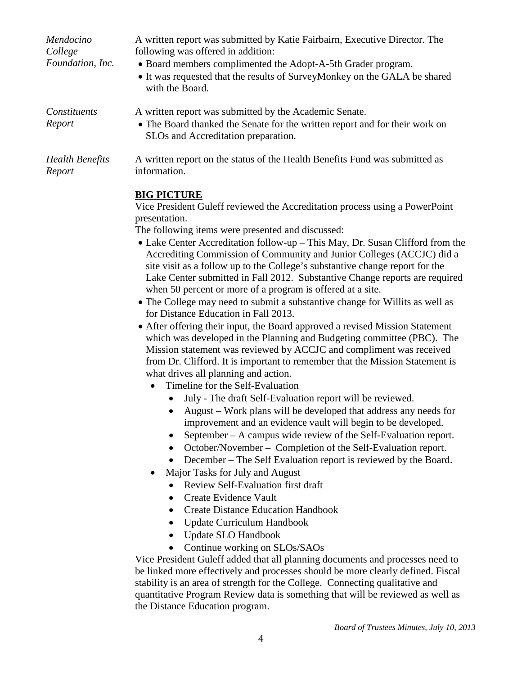| Mendocino<br>College<br>Foundation, Inc. | A written report was submitted by Katie Fairbairn, Executive Director. The<br>following was offered in addition:<br>• Board members complimented the Adopt-A-5th Grader program.<br>• It was requested that the results of SurveyMonkey on the GALA be shared<br>with the Board. |
|------------------------------------------|----------------------------------------------------------------------------------------------------------------------------------------------------------------------------------------------------------------------------------------------------------------------------------|
| Constituents<br>Report                   | A written report was submitted by the Academic Senate.<br>• The Board thanked the Senate for the written report and for their work on<br>SLOs and Accreditation preparation.                                                                                                     |
| <b>Health Benefits</b>                   | A written report on the status of the Health Benefits Fund was submitted as                                                                                                                                                                                                      |

*Report*

### **BIG PICTURE**

information.

Vice President Guleff reviewed the Accreditation process using a PowerPoint presentation.

The following items were presented and discussed:

- Lake Center Accreditation follow-up This May, Dr. Susan Clifford from the Accrediting Commission of Community and Junior Colleges (ACCJC) did a site visit as a follow up to the College's substantive change report for the Lake Center submitted in Fall 2012. Substantive Change reports are required when 50 percent or more of a program is offered at a site.
- The College may need to submit a substantive change for Willits as well as for Distance Education in Fall 2013.
- After offering their input, the Board approved a revised Mission Statement which was developed in the Planning and Budgeting committee (PBC). The Mission statement was reviewed by ACCJC and compliment was received from Dr. Clifford. It is important to remember that the Mission Statement is what drives all planning and action.
	- Timeline for the Self-Evaluation
		- July The draft Self-Evaluation report will be reviewed.
		- August Work plans will be developed that address any needs for improvement and an evidence vault will begin to be developed.
		- September A campus wide review of the Self-Evaluation report.
		- October/November Completion of the Self-Evaluation report.
		- December The Self Evaluation report is reviewed by the Board.
	- Major Tasks for July and August
		- Review Self-Evaluation first draft
		- Create Evidence Vault
		- Create Distance Education Handbook
		- Update Curriculum Handbook
		- Update SLO Handbook
		- Continue working on SLOs/SAOs

Vice President Guleff added that all planning documents and processes need to be linked more effectively and processes should be more clearly defined. Fiscal stability is an area of strength for the College. Connecting qualitative and quantitative Program Review data is something that will be reviewed as well as the Distance Education program.